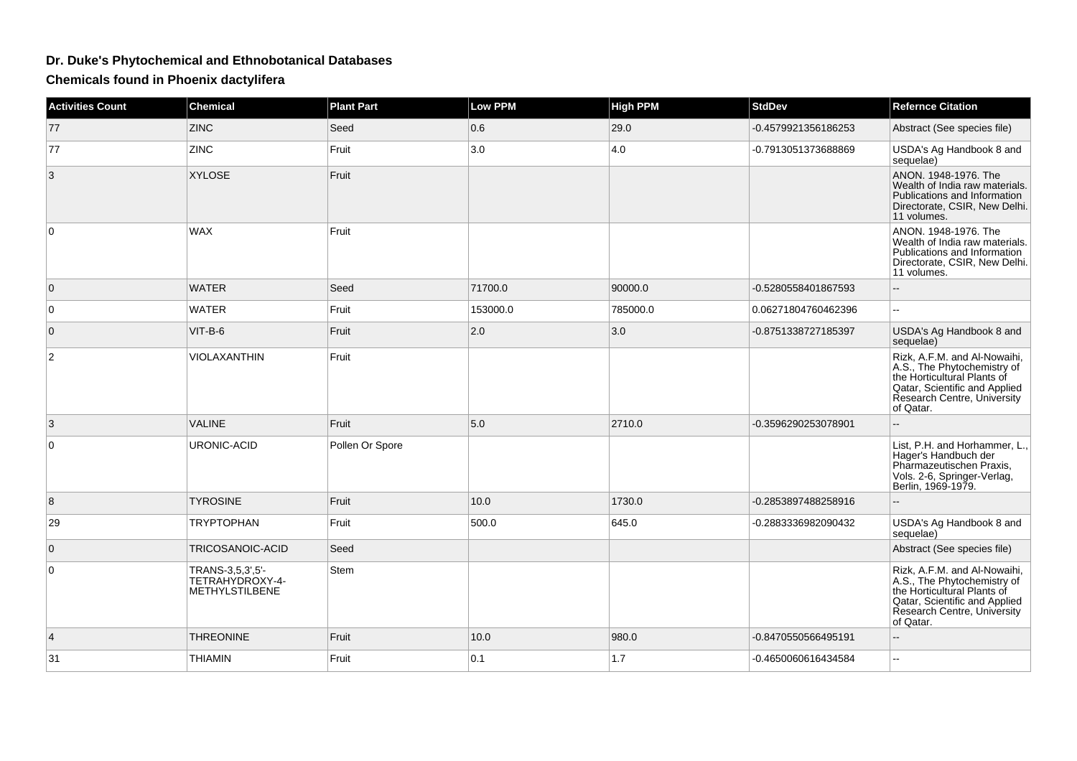## **Dr. Duke's Phytochemical and Ethnobotanical Databases**

**Chemicals found in Phoenix dactylifera**

| <b>Activities Count</b> | <b>Chemical</b>                                              | <b>Plant Part</b> | <b>Low PPM</b> | <b>High PPM</b> | <b>StdDev</b>       | <b>Refernce Citation</b>                                                                                                                                                |
|-------------------------|--------------------------------------------------------------|-------------------|----------------|-----------------|---------------------|-------------------------------------------------------------------------------------------------------------------------------------------------------------------------|
| 77                      | <b>ZINC</b>                                                  | Seed              | 0.6            | 29.0            | -0.4579921356186253 | Abstract (See species file)                                                                                                                                             |
| 77                      | <b>ZINC</b>                                                  | Fruit             | 3.0            | 4.0             | -0.7913051373688869 | USDA's Ag Handbook 8 and<br>sequelae)                                                                                                                                   |
| 3                       | <b>XYLOSE</b>                                                | Fruit             |                |                 |                     | ANON, 1948-1976. The<br>Wealth of India raw materials.<br>Publications and Information<br>Directorate, CSIR, New Delhi.<br>11 volumes.                                  |
| $\overline{0}$          | <b>WAX</b>                                                   | Fruit             |                |                 |                     | ANON. 1948-1976. The<br>Wealth of India raw materials.<br>Publications and Information<br>Directorate, CSIR, New Delhi.<br>11 volumes.                                  |
| $\overline{0}$          | <b>WATER</b>                                                 | Seed              | 71700.0        | 90000.0         | -0.5280558401867593 | --                                                                                                                                                                      |
| $\overline{0}$          | <b>WATER</b>                                                 | Fruit             | 153000.0       | 785000.0        | 0.06271804760462396 | $\overline{a}$                                                                                                                                                          |
| $\overline{0}$          | VIT-B-6                                                      | Fruit             | 2.0            | 3.0             | -0.8751338727185397 | USDA's Ag Handbook 8 and<br>sequelae)                                                                                                                                   |
| $\overline{c}$          | VIOLAXANTHIN                                                 | Fruit             |                |                 |                     | Rizk, A.F.M. and Al-Nowaihi,<br>A.S., The Phytochemistry of<br>the Horticultural Plants of<br>Qatar, Scientific and Applied<br>Research Centre, University<br>of Qatar. |
| 3                       | <b>VALINE</b>                                                | Fruit             | 5.0            | 2710.0          | -0.3596290253078901 | ۵.                                                                                                                                                                      |
| $\overline{0}$          | URONIC-ACID                                                  | Pollen Or Spore   |                |                 |                     | List, P.H. and Horhammer, L.,<br>Hager's Handbuch der<br>Pharmazeutischen Praxis,<br>Vols. 2-6, Springer-Verlag,<br>Berlin, 1969-1979.                                  |
| 8                       | <b>TYROSINE</b>                                              | Fruit             | 10.0           | 1730.0          | -0.2853897488258916 |                                                                                                                                                                         |
| 29                      | <b>TRYPTOPHAN</b>                                            | Fruit             | 500.0          | 645.0           | -0.2883336982090432 | USDA's Ag Handbook 8 and<br>sequelae)                                                                                                                                   |
| $\overline{0}$          | TRICOSANOIC-ACID                                             | Seed              |                |                 |                     | Abstract (See species file)                                                                                                                                             |
| $\overline{0}$          | TRANS-3,5,3',5'-<br>TETRAHYDROXY-4-<br><b>METHYLSTILBENE</b> | Stem              |                |                 |                     | Rizk, A.F.M. and Al-Nowaihi,<br>A.S., The Phytochemistry of<br>the Horticultural Plants of<br>Qatar, Scientific and Applied<br>Research Centre, University<br>of Qatar. |
| $\overline{4}$          | <b>THREONINE</b>                                             | Fruit             | 10.0           | 980.0           | -0.8470550566495191 |                                                                                                                                                                         |
| 31                      | <b>THIAMIN</b>                                               | Fruit             | 0.1            | 1.7             | -0.4650060616434584 |                                                                                                                                                                         |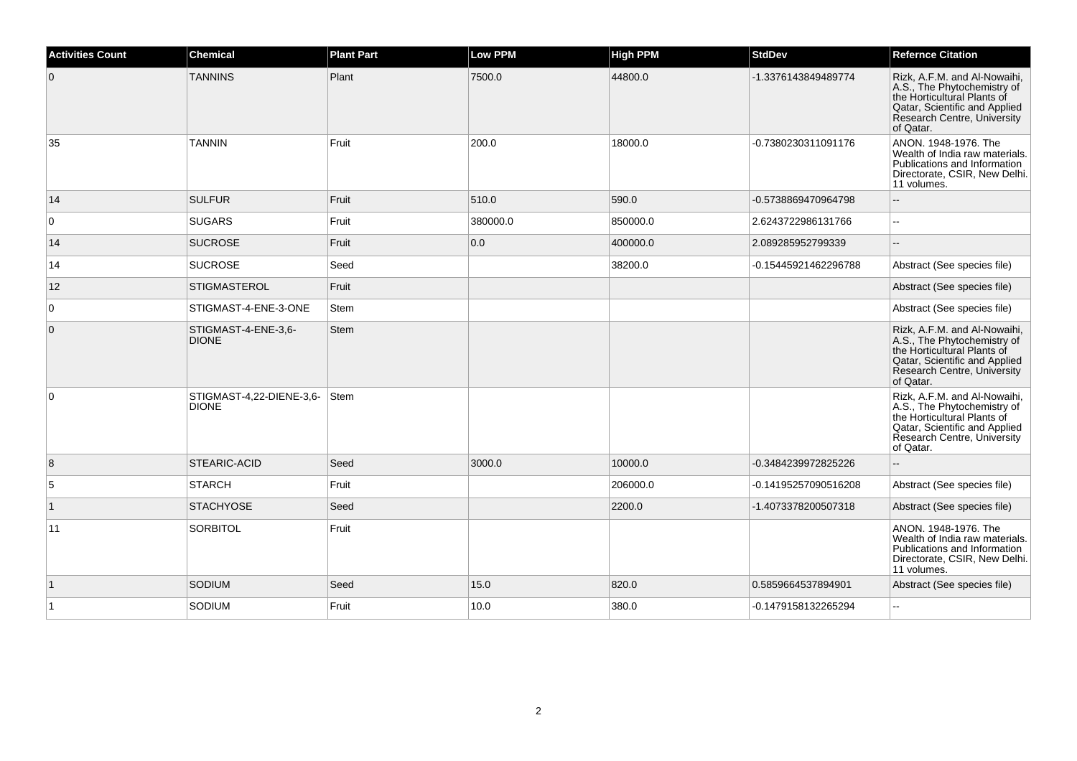| <b>Activities Count</b> | <b>Chemical</b>                               | <b>Plant Part</b> | <b>Low PPM</b> | <b>High PPM</b> | <b>StdDev</b>        | <b>Refernce Citation</b>                                                                                                                                                |
|-------------------------|-----------------------------------------------|-------------------|----------------|-----------------|----------------------|-------------------------------------------------------------------------------------------------------------------------------------------------------------------------|
| $\overline{0}$          | <b>TANNINS</b>                                | Plant             | 7500.0         | 44800.0         | -1.3376143849489774  | Rizk, A.F.M. and Al-Nowaihi,<br>A.S., The Phytochemistry of<br>the Horticultural Plants of<br>Qatar, Scientific and Applied<br>Research Centre, University<br>of Qatar. |
| 35                      | <b>TANNIN</b>                                 | Fruit             | 200.0          | 18000.0         | -0.7380230311091176  | ANON. 1948-1976. The<br>Wealth of India raw materials.<br>Publications and Information<br>Directorate, CSIR, New Delhi.<br>11 volumes.                                  |
| 14                      | SULFUR                                        | Fruit             | 510.0          | 590.0           | -0.5738869470964798  | $\overline{\phantom{a}}$                                                                                                                                                |
| $\overline{0}$          | <b>SUGARS</b>                                 | Fruit             | 380000.0       | 850000.0        | 2.6243722986131766   | $\sim$                                                                                                                                                                  |
| 14                      | <b>SUCROSE</b>                                | Fruit             | 0.0            | 400000.0        | 2.089285952799339    | $\overline{\phantom{a}}$                                                                                                                                                |
| 14                      | <b>SUCROSE</b>                                | Seed              |                | 38200.0         | -0.15445921462296788 | Abstract (See species file)                                                                                                                                             |
| 12                      | <b>STIGMASTEROL</b>                           | Fruit             |                |                 |                      | Abstract (See species file)                                                                                                                                             |
| $\overline{0}$          | STIGMAST-4-ENE-3-ONE                          | Stem              |                |                 |                      | Abstract (See species file)                                                                                                                                             |
| $\overline{0}$          | STIGMAST-4-ENE-3,6-<br><b>DIONE</b>           | <b>Stem</b>       |                |                 |                      | Rizk, A.F.M. and Al-Nowaihi,<br>A.S., The Phytochemistry of<br>the Horticultural Plants of<br>Qatar, Scientific and Applied<br>Research Centre, University<br>of Qatar. |
| $\overline{0}$          | STIGMAST-4,22-DIENE-3,6- Stem<br><b>DIONE</b> |                   |                |                 |                      | Rizk, A.F.M. and Al-Nowaihi,<br>A.S., The Phytochemistry of<br>the Horticultural Plants of<br>Qatar, Scientific and Applied<br>Research Centre, University<br>of Qatar. |
| 8                       | STEARIC-ACID                                  | Seed              | 3000.0         | 10000.0         | -0.3484239972825226  | $\overline{\phantom{a}}$                                                                                                                                                |
| $\sqrt{5}$              | STARCH                                        | Fruit             |                | 206000.0        | -0.14195257090516208 | Abstract (See species file)                                                                                                                                             |
| $\mathbf{1}$            | <b>STACHYOSE</b>                              | Seed              |                | 2200.0          | -1.4073378200507318  | Abstract (See species file)                                                                                                                                             |
| 11                      | <b>SORBITOL</b>                               | Fruit             |                |                 |                      | ANON. 1948-1976. The<br>Wealth of India raw materials.<br>Publications and Information<br>Directorate, CSIR, New Delhi.<br>11 volumes.                                  |
| $\overline{1}$          | SODIUM                                        | Seed              | 15.0           | 820.0           | 0.5859664537894901   | Abstract (See species file)                                                                                                                                             |
| $\overline{1}$          | SODIUM                                        | Fruit             | 10.0           | 380.0           | -0.1479158132265294  | $\sim$                                                                                                                                                                  |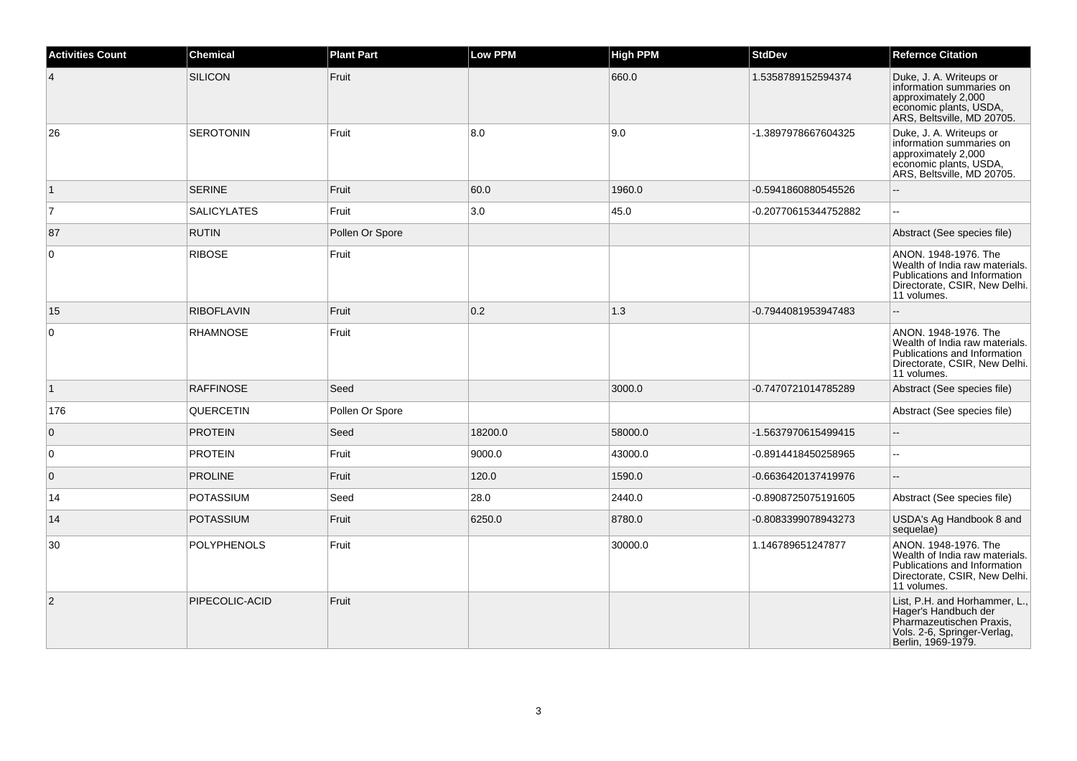| <b>Activities Count</b> | <b>Chemical</b>    | <b>Plant Part</b> | <b>Low PPM</b> | <b>High PPM</b> | <b>StdDev</b>        | <b>Refernce Citation</b>                                                                                                               |
|-------------------------|--------------------|-------------------|----------------|-----------------|----------------------|----------------------------------------------------------------------------------------------------------------------------------------|
| $\overline{4}$          | <b>SILICON</b>     | Fruit             |                | 660.0           | 1.5358789152594374   | Duke, J. A. Writeups or<br>information summaries on<br>approximately 2,000<br>economic plants, USDA,<br>ARS, Beltsville, MD 20705.     |
| 26                      | <b>SEROTONIN</b>   | Fruit             | 8.0            | 9.0             | -1.3897978667604325  | Duke, J. A. Writeups or<br>information summaries on<br>approximately 2,000<br>economic plants, USDA,<br>ARS, Beltsville, MD 20705.     |
| $\vert$ 1               | <b>SERINE</b>      | Fruit             | 60.0           | 1960.0          | -0.5941860880545526  |                                                                                                                                        |
| $\overline{7}$          | <b>SALICYLATES</b> | Fruit             | 3.0            | 45.0            | -0.20770615344752882 | $\mathbb{L}^2$                                                                                                                         |
| 87                      | <b>RUTIN</b>       | Pollen Or Spore   |                |                 |                      | Abstract (See species file)                                                                                                            |
| 0                       | <b>RIBOSE</b>      | Fruit             |                |                 |                      | ANON. 1948-1976. The<br>Wealth of India raw materials.<br>Publications and Information<br>Directorate, CSIR, New Delhi.<br>11 volumes. |
| 15                      | <b>RIBOFLAVIN</b>  | Fruit             | 0.2            | 1.3             | -0.7944081953947483  | $\overline{a}$                                                                                                                         |
| 0                       | <b>RHAMNOSE</b>    | Fruit             |                |                 |                      | ANON. 1948-1976. The<br>Wealth of India raw materials.<br>Publications and Information<br>Directorate, CSIR, New Delhi.<br>11 volumes. |
| $\vert$ 1               | <b>RAFFINOSE</b>   | Seed              |                | 3000.0          | -0.7470721014785289  | Abstract (See species file)                                                                                                            |
| 176                     | QUERCETIN          | Pollen Or Spore   |                |                 |                      | Abstract (See species file)                                                                                                            |
| $\mathbf 0$             | <b>PROTEIN</b>     | Seed              | 18200.0        | 58000.0         | -1.5637970615499415  |                                                                                                                                        |
| 0                       | <b>PROTEIN</b>     | Fruit             | 9000.0         | 43000.0         | -0.8914418450258965  | $\mathbf{L}$                                                                                                                           |
| $\mathbf 0$             | <b>PROLINE</b>     | Fruit             | 120.0          | 1590.0          | -0.6636420137419976  | $\overline{\phantom{a}}$                                                                                                               |
| 14                      | <b>POTASSIUM</b>   | Seed              | 28.0           | 2440.0          | -0.8908725075191605  | Abstract (See species file)                                                                                                            |
| 14                      | <b>POTASSIUM</b>   | Fruit             | 6250.0         | 8780.0          | -0.8083399078943273  | USDA's Ag Handbook 8 and<br>sequelae)                                                                                                  |
| 30                      | <b>POLYPHENOLS</b> | Fruit             |                | 30000.0         | 1.146789651247877    | ANON. 1948-1976. The<br>Wealth of India raw materials.<br>Publications and Information<br>Directorate, CSIR, New Delhi.<br>11 volumes. |
| $\overline{2}$          | PIPECOLIC-ACID     | Fruit             |                |                 |                      | List, P.H. and Horhammer, L.,<br>Hager's Handbuch der<br>Pharmazeutischen Praxis,<br>Vols. 2-6, Springer-Verlag,<br>Berlin, 1969-1979. |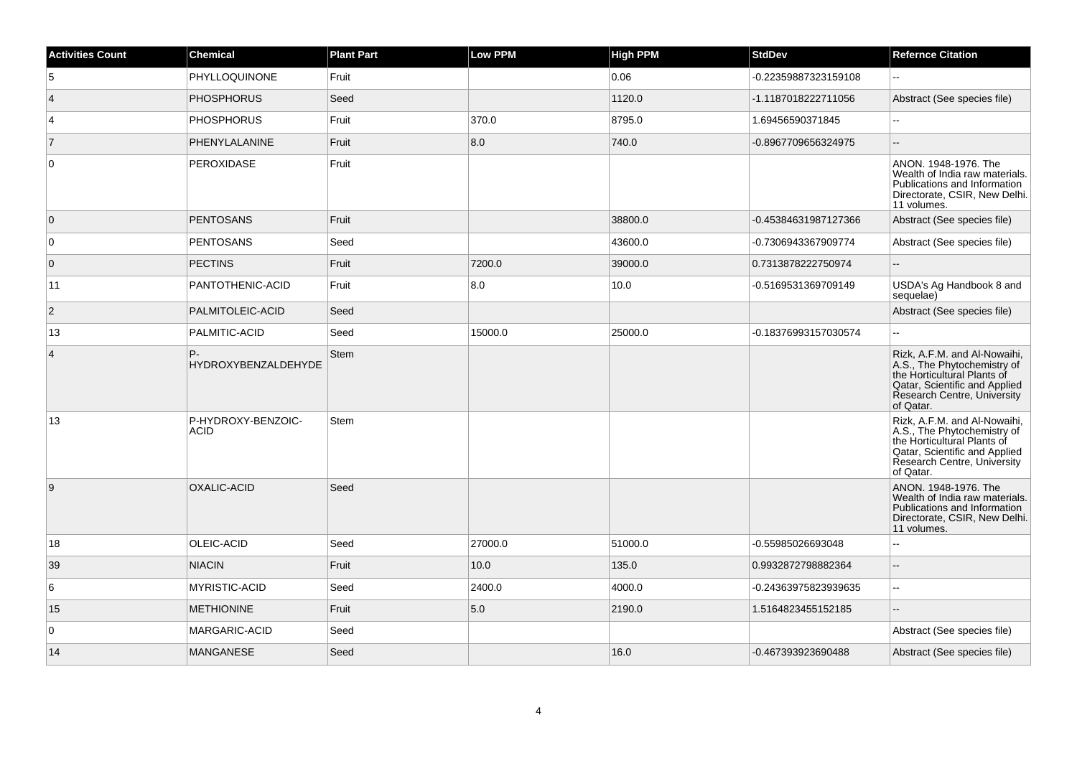| <b>Activities Count</b> | <b>Chemical</b>                   | <b>Plant Part</b> | <b>Low PPM</b> | <b>High PPM</b> | <b>StdDev</b>        | <b>Refernce Citation</b>                                                                                                                                                |
|-------------------------|-----------------------------------|-------------------|----------------|-----------------|----------------------|-------------------------------------------------------------------------------------------------------------------------------------------------------------------------|
| 5                       | PHYLLOQUINONE                     | Fruit             |                | 0.06            | -0.22359887323159108 | $\sim$                                                                                                                                                                  |
| $\overline{4}$          | <b>PHOSPHORUS</b>                 | Seed              |                | 1120.0          | -1.1187018222711056  | Abstract (See species file)                                                                                                                                             |
| 4                       | <b>PHOSPHORUS</b>                 | Fruit             | 370.0          | 8795.0          | 1.69456590371845     | ÷.                                                                                                                                                                      |
| $\overline{7}$          | PHENYLALANINE                     | Fruit             | 8.0            | 740.0           | -0.8967709656324975  |                                                                                                                                                                         |
| 0                       | PEROXIDASE                        | Fruit             |                |                 |                      | ANON. 1948-1976. The<br>Wealth of India raw materials.<br>Publications and Information<br>Directorate, CSIR, New Delhi.<br>11 volumes.                                  |
| $\mathbf 0$             | <b>PENTOSANS</b>                  | Fruit             |                | 38800.0         | -0.45384631987127366 | Abstract (See species file)                                                                                                                                             |
| $\mathbf 0$             | <b>PENTOSANS</b>                  | Seed              |                | 43600.0         | -0.7306943367909774  | Abstract (See species file)                                                                                                                                             |
| $\mathbf 0$             | <b>PECTINS</b>                    | Fruit             | 7200.0         | 39000.0         | 0.7313878222750974   | $\overline{\phantom{a}}$                                                                                                                                                |
| 11                      | PANTOTHENIC-ACID                  | Fruit             | 8.0            | 10.0            | -0.5169531369709149  | USDA's Ag Handbook 8 and<br>sequelae)                                                                                                                                   |
| $\overline{c}$          | PALMITOLEIC-ACID                  | Seed              |                |                 |                      | Abstract (See species file)                                                                                                                                             |
| 13                      | PALMITIC-ACID                     | Seed              | 15000.0        | 25000.0         | -0.18376993157030574 | $\overline{a}$                                                                                                                                                          |
| $\overline{4}$          | P-<br>HYDROXYBENZALDEHYDE         | <b>Stem</b>       |                |                 |                      | Rizk, A.F.M. and Al-Nowaihi,<br>A.S., The Phytochemistry of<br>the Horticultural Plants of<br>Qatar, Scientific and Applied<br>Research Centre, University<br>of Qatar. |
| 13                      | P-HYDROXY-BENZOIC-<br><b>ACID</b> | Stem              |                |                 |                      | Rizk, A.F.M. and Al-Nowaihi,<br>A.S., The Phytochemistry of<br>the Horticultural Plants of<br>Qatar, Scientific and Applied<br>Research Centre, University<br>of Qatar. |
| 9                       | OXALIC-ACID                       | Seed              |                |                 |                      | ANON. 1948-1976. The<br>Wealth of India raw materials.<br>Publications and Information<br>Directorate, CSIR, New Delhi.<br>11 volumes.                                  |
| 18                      | OLEIC-ACID                        | Seed              | 27000.0        | 51000.0         | -0.55985026693048    |                                                                                                                                                                         |
| 39                      | <b>NIACIN</b>                     | Fruit             | 10.0           | 135.0           | 0.9932872798882364   |                                                                                                                                                                         |
| 6                       | <b>MYRISTIC-ACID</b>              | Seed              | 2400.0         | 4000.0          | -0.24363975823939635 | $\overline{\phantom{a}}$                                                                                                                                                |
| 15                      | <b>METHIONINE</b>                 | Fruit             | 5.0            | 2190.0          | 1.5164823455152185   | Ξ.                                                                                                                                                                      |
| $\mathbf 0$             | MARGARIC-ACID                     | Seed              |                |                 |                      | Abstract (See species file)                                                                                                                                             |
| 14                      | <b>MANGANESE</b>                  | Seed              |                | 16.0            | -0.467393923690488   | Abstract (See species file)                                                                                                                                             |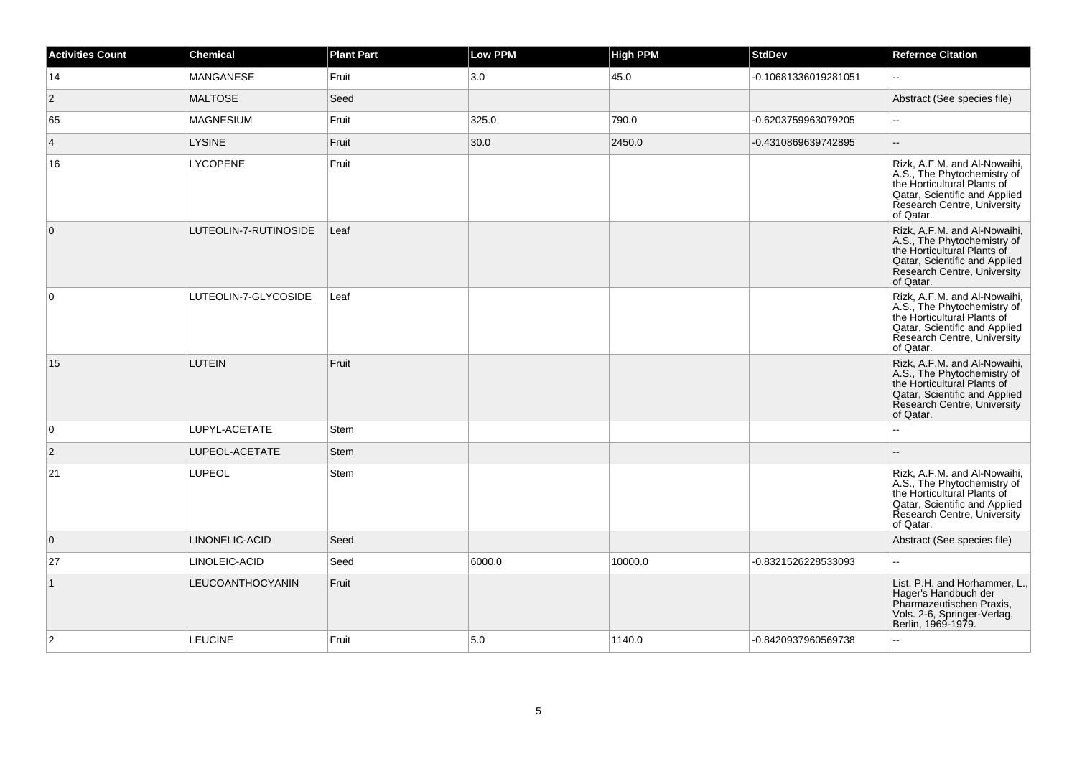| <b>Activities Count</b> | <b>Chemical</b>       | <b>Plant Part</b> | <b>Low PPM</b> | <b>High PPM</b> | <b>StdDev</b>        | <b>Refernce Citation</b>                                                                                                                                                |
|-------------------------|-----------------------|-------------------|----------------|-----------------|----------------------|-------------------------------------------------------------------------------------------------------------------------------------------------------------------------|
| 14                      | <b>MANGANESE</b>      | Fruit             | 3.0            | 45.0            | -0.10681336019281051 |                                                                                                                                                                         |
| $\overline{c}$          | <b>MALTOSE</b>        | Seed              |                |                 |                      | Abstract (See species file)                                                                                                                                             |
| 65                      | <b>MAGNESIUM</b>      | Fruit             | 325.0          | 790.0           | -0.6203759963079205  | $\overline{\phantom{a}}$                                                                                                                                                |
| $\overline{4}$          | <b>LYSINE</b>         | Fruit             | 30.0           | 2450.0          | -0.4310869639742895  | $\overline{\phantom{a}}$                                                                                                                                                |
| 16                      | <b>LYCOPENE</b>       | Fruit             |                |                 |                      | Rizk, A.F.M. and Al-Nowaihi,<br>A.S., The Phytochemistry of<br>the Horticultural Plants of<br>Qatar, Scientific and Applied<br>Research Centre, University<br>of Qatar. |
| $\overline{0}$          | LUTEOLIN-7-RUTINOSIDE | Leaf              |                |                 |                      | Rizk, A.F.M. and Al-Nowaihi,<br>A.S., The Phytochemistry of<br>the Horticultural Plants of<br>Qatar, Scientific and Applied<br>Research Centre, University<br>of Qatar. |
| 0                       | LUTEOLIN-7-GLYCOSIDE  | Leaf              |                |                 |                      | Rizk, A.F.M. and Al-Nowaihi,<br>A.S., The Phytochemistry of<br>the Horticultural Plants of<br>Qatar, Scientific and Applied<br>Research Centre, University<br>of Qatar. |
| 15                      | <b>LUTEIN</b>         | Fruit             |                |                 |                      | Rizk, A.F.M. and Al-Nowaihi,<br>A.S., The Phytochemistry of<br>the Horticultural Plants of<br>Qatar, Scientific and Applied<br>Research Centre, University<br>of Qatar. |
| $\mathbf 0$             | LUPYL-ACETATE         | <b>Stem</b>       |                |                 |                      |                                                                                                                                                                         |
| $\overline{2}$          | LUPEOL-ACETATE        | <b>Stem</b>       |                |                 |                      |                                                                                                                                                                         |
| 21                      | LUPEOL                | <b>Stem</b>       |                |                 |                      | Rizk, A.F.M. and Al-Nowaihi,<br>A.S., The Phytochemistry of<br>the Horticultural Plants of<br>Qatar, Scientific and Applied<br>Research Centre, University<br>of Qatar. |
| $\overline{0}$          | LINONELIC-ACID        | Seed              |                |                 |                      | Abstract (See species file)                                                                                                                                             |
| 27                      | LINOLEIC-ACID         | Seed              | 6000.0         | 10000.0         | -0.8321526228533093  |                                                                                                                                                                         |
| $\mathbf{1}$            | LEUCOANTHOCYANIN      | Fruit             |                |                 |                      | List, P.H. and Horhammer, L.,<br>Hager's Handbuch der<br>Pharmazeutischen Praxis,<br>Vols. 2-6, Springer-Verlag,<br>Berlin, 1969-1979.                                  |
| $\overline{c}$          | <b>LEUCINE</b>        | Fruit             | 5.0            | 1140.0          | -0.8420937960569738  |                                                                                                                                                                         |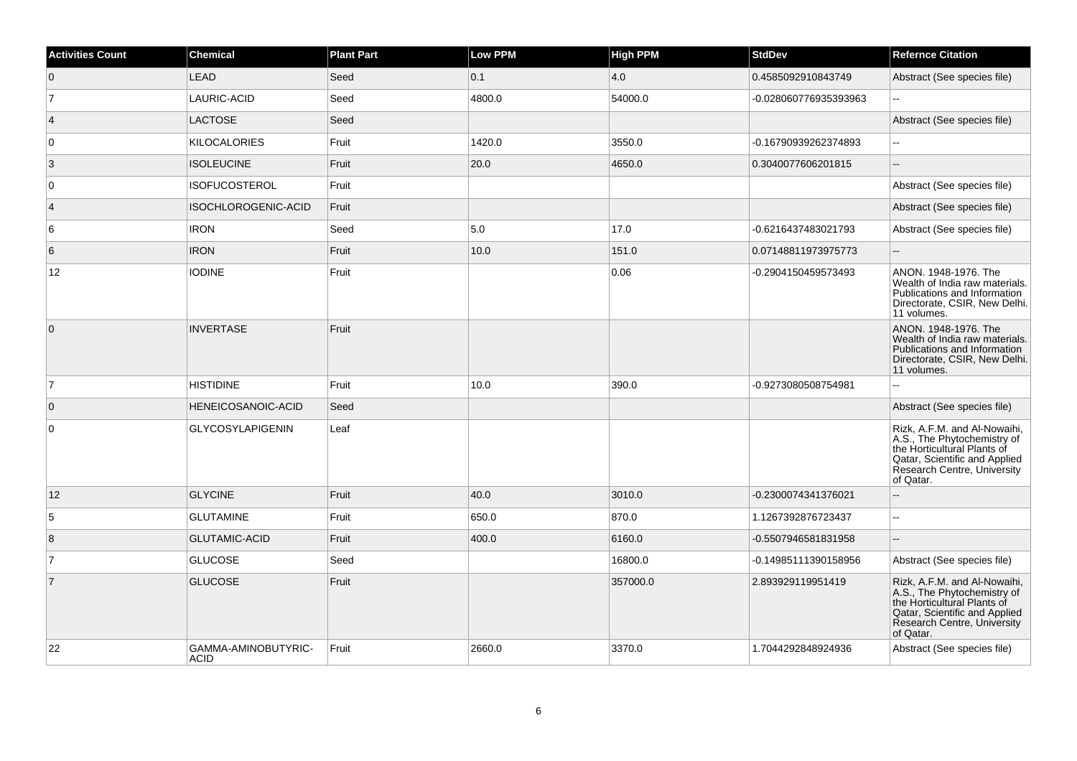| <b>Activities Count</b> | <b>Chemical</b>                    | <b>Plant Part</b> | Low PPM | <b>High PPM</b> | <b>StdDev</b>         | <b>Refernce Citation</b>                                                                                                                                                |
|-------------------------|------------------------------------|-------------------|---------|-----------------|-----------------------|-------------------------------------------------------------------------------------------------------------------------------------------------------------------------|
| $\overline{0}$          | <b>LEAD</b>                        | Seed              | 0.1     | 4.0             | 0.4585092910843749    | Abstract (See species file)                                                                                                                                             |
| 7                       | LAURIC-ACID                        | Seed              | 4800.0  | 54000.0         | -0.028060776935393963 | Ξ.                                                                                                                                                                      |
| $\vert$ 4               | <b>LACTOSE</b>                     | Seed              |         |                 |                       | Abstract (See species file)                                                                                                                                             |
| 0                       | KILOCALORIES                       | Fruit             | 1420.0  | 3550.0          | -0.16790939262374893  |                                                                                                                                                                         |
| $\vert 3 \vert$         | <b>ISOLEUCINE</b>                  | Fruit             | 20.0    | 4650.0          | 0.3040077606201815    | Ш.                                                                                                                                                                      |
| 0                       | <b>ISOFUCOSTEROL</b>               | Fruit             |         |                 |                       | Abstract (See species file)                                                                                                                                             |
| $\vert$ 4               | ISOCHLOROGENIC-ACID                | Fruit             |         |                 |                       | Abstract (See species file)                                                                                                                                             |
| 6                       | <b>IRON</b>                        | Seed              | 5.0     | 17.0            | -0.6216437483021793   | Abstract (See species file)                                                                                                                                             |
| $\,6$                   | <b>IRON</b>                        | Fruit             | 10.0    | 151.0           | 0.07148811973975773   |                                                                                                                                                                         |
| 12                      | <b>IODINE</b>                      | Fruit             |         | 0.06            | -0.2904150459573493   | ANON. 1948-1976. The<br>Wealth of India raw materials.<br>Publications and Information<br>Directorate, CSIR, New Delhi.<br>11 volumes.                                  |
| $\overline{0}$          | <b>INVERTASE</b>                   | Fruit             |         |                 |                       | ANON. 1948-1976. The<br>Wealth of India raw materials.<br>Publications and Information<br>Directorate, CSIR, New Delhi.<br>11 volumes.                                  |
| 7                       | <b>HISTIDINE</b>                   | Fruit             | 10.0    | 390.0           | -0.9273080508754981   |                                                                                                                                                                         |
| $\overline{0}$          | HENEICOSANOIC-ACID                 | Seed              |         |                 |                       | Abstract (See species file)                                                                                                                                             |
| $\overline{0}$          | <b>GLYCOSYLAPIGENIN</b>            | Leaf              |         |                 |                       | Rizk, A.F.M. and Al-Nowaihi,<br>A.S., The Phytochemistry of<br>the Horticultural Plants of<br>Qatar, Scientific and Applied<br>Research Centre, University<br>of Qatar. |
| 12                      | <b>GLYCINE</b>                     | Fruit             | 40.0    | 3010.0          | -0.2300074341376021   |                                                                                                                                                                         |
| 5                       | <b>GLUTAMINE</b>                   | Fruit             | 650.0   | 870.0           | 1.1267392876723437    | u.                                                                                                                                                                      |
| 8                       | <b>GLUTAMIC-ACID</b>               | Fruit             | 400.0   | 6160.0          | -0.5507946581831958   |                                                                                                                                                                         |
| $\overline{7}$          | <b>GLUCOSE</b>                     | Seed              |         | 16800.0         | -0.14985111390158956  | Abstract (See species file)                                                                                                                                             |
| $\overline{7}$          | <b>GLUCOSE</b>                     | Fruit             |         | 357000.0        | 2.893929119951419     | Rizk, A.F.M. and Al-Nowaihi,<br>A.S., The Phytochemistry of<br>the Horticultural Plants of<br>Qatar, Scientific and Applied<br>Research Centre, University<br>of Qatar. |
| 22                      | GAMMA-AMINOBUTYRIC-<br><b>ACID</b> | Fruit             | 2660.0  | 3370.0          | 1.7044292848924936    | Abstract (See species file)                                                                                                                                             |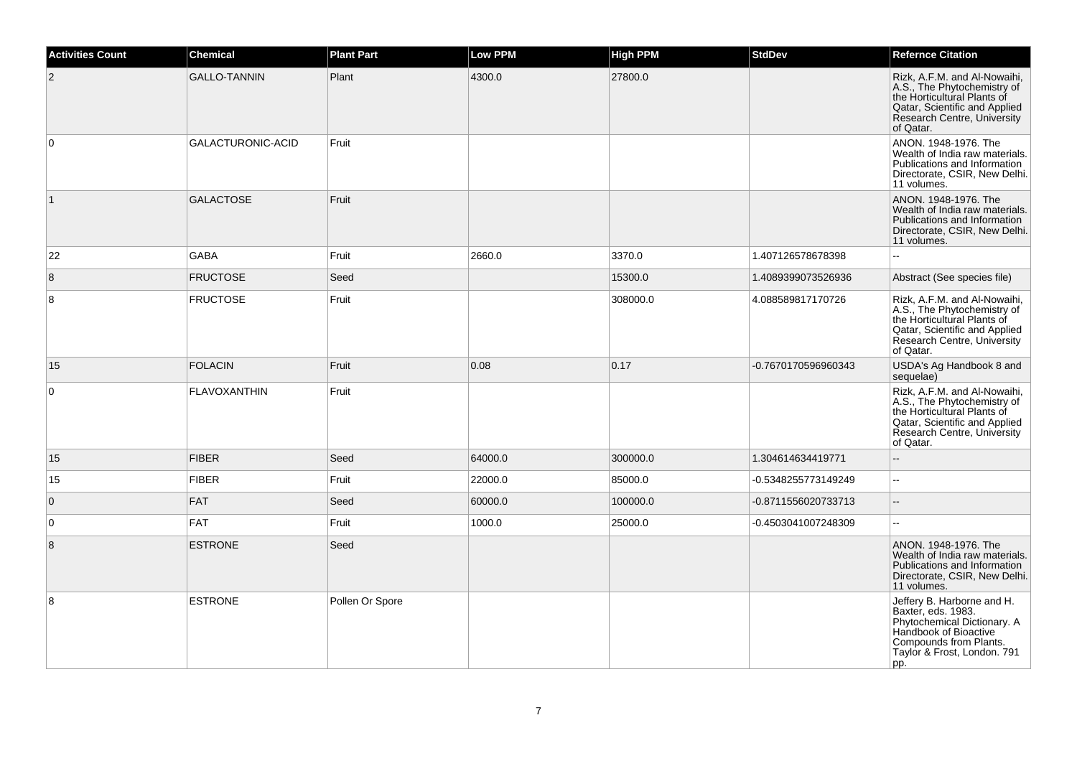| <b>Activities Count</b> | <b>Chemical</b>     | <b>Plant Part</b> | <b>Low PPM</b> | <b>High PPM</b> | <b>StdDev</b>       | <b>Refernce Citation</b>                                                                                                                                                 |
|-------------------------|---------------------|-------------------|----------------|-----------------|---------------------|--------------------------------------------------------------------------------------------------------------------------------------------------------------------------|
| $\overline{2}$          | <b>GALLO-TANNIN</b> | Plant             | 4300.0         | 27800.0         |                     | Rizk, A.F.M. and Al-Nowaihi,<br>A.S., The Phytochemistry of<br>the Horticultural Plants of<br>Qatar, Scientific and Applied<br>Research Centre, University<br>of Qatar.  |
| $\overline{0}$          | GALACTURONIC-ACID   | Fruit             |                |                 |                     | ANON. 1948-1976. The<br>Wealth of India raw materials.<br>Publications and Information<br>Directorate, CSIR, New Delhi.<br>11 volumes.                                   |
| $\vert$ 1               | <b>GALACTOSE</b>    | Fruit             |                |                 |                     | ANON. 1948-1976. The<br>Wealth of India raw materials.<br>Publications and Information<br>Directorate, CSIR, New Delhi.<br>11 volumes.                                   |
| 22                      | <b>GABA</b>         | Fruit             | 2660.0         | 3370.0          | 1.407126578678398   |                                                                                                                                                                          |
| 8                       | <b>FRUCTOSE</b>     | Seed              |                | 15300.0         | 1.4089399073526936  | Abstract (See species file)                                                                                                                                              |
| $\boldsymbol{8}$        | <b>FRUCTOSE</b>     | Fruit             |                | 308000.0        | 4.088589817170726   | Rizk, A.F.M. and Al-Nowaihi,<br>A.S., The Phytochemistry of<br>the Horticultural Plants of<br>Qatar, Scientific and Applied<br>Research Centre, University<br>of Qatar.  |
| 15                      | <b>FOLACIN</b>      | Fruit             | 0.08           | 0.17            | -0.7670170596960343 | USDA's Ag Handbook 8 and<br>sequelae)                                                                                                                                    |
| $\overline{0}$          | <b>FLAVOXANTHIN</b> | Fruit             |                |                 |                     | Rizk, A.F.M. and Al-Nowaihi,<br>A.S., The Phytochemistry of<br>the Horticultural Plants of<br>Qatar, Scientific and Applied<br>Research Centre, University<br>of Qatar.  |
| 15                      | <b>FIBER</b>        | Seed              | 64000.0        | 300000.0        | 1.304614634419771   | $\overline{\phantom{a}}$                                                                                                                                                 |
| 15                      | <b>FIBER</b>        | Fruit             | 22000.0        | 85000.0         | -0.5348255773149249 | $\sim$ $\sim$                                                                                                                                                            |
| $\overline{0}$          | <b>FAT</b>          | Seed              | 60000.0        | 100000.0        | -0.8711556020733713 | $\sim$                                                                                                                                                                   |
| $\overline{0}$          | <b>FAT</b>          | Fruit             | 1000.0         | 25000.0         | -0.4503041007248309 | $\mathbb{L}^2$                                                                                                                                                           |
| $\boldsymbol{8}$        | <b>ESTRONE</b>      | Seed              |                |                 |                     | ANON. 1948-1976. The<br>Wealth of India raw materials.<br>Publications and Information<br>Directorate, CSIR, New Delhi.<br>11 volumes.                                   |
| 8                       | <b>ESTRONE</b>      | Pollen Or Spore   |                |                 |                     | Jeffery B. Harborne and H.<br>Baxter, eds. 1983.<br>Phytochemical Dictionary. A<br>Handbook of Bioactive<br>Compounds from Plants.<br>Taylor & Frost, London. 791<br>pp. |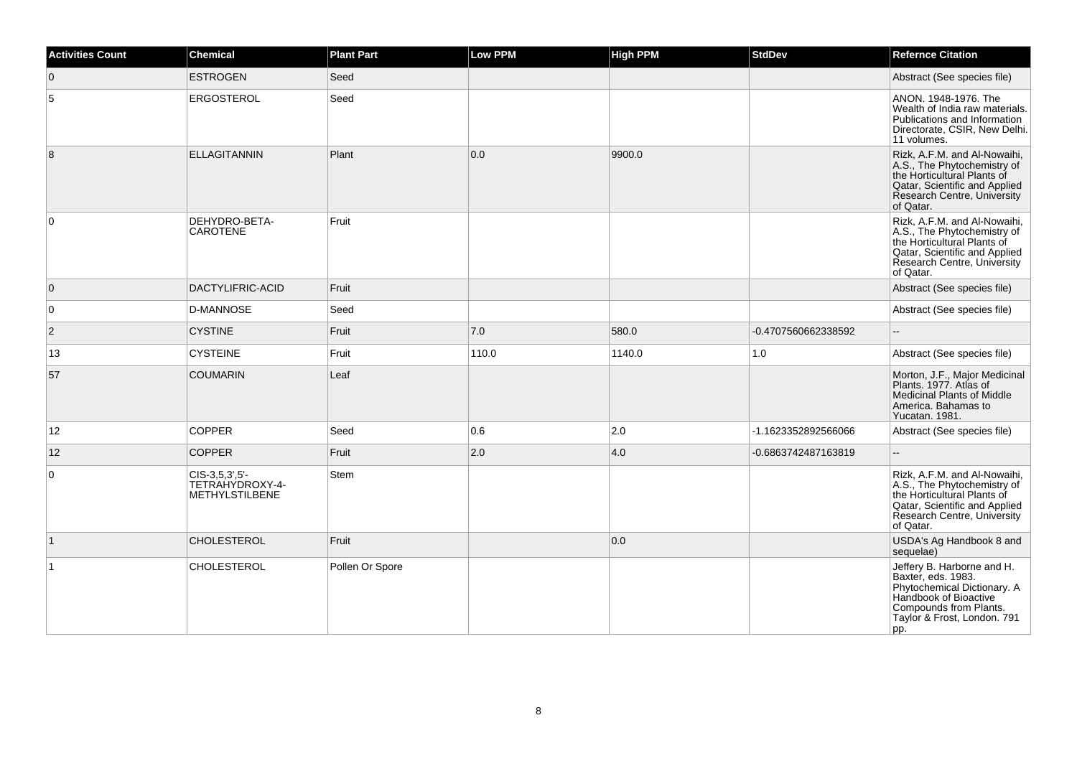| <b>Activities Count</b> | <b>Chemical</b>                                      | <b>Plant Part</b> | Low PPM | <b>High PPM</b> | <b>StdDev</b>       | <b>Refernce Citation</b>                                                                                                                                                 |
|-------------------------|------------------------------------------------------|-------------------|---------|-----------------|---------------------|--------------------------------------------------------------------------------------------------------------------------------------------------------------------------|
| $\overline{0}$          | <b>ESTROGEN</b>                                      | Seed              |         |                 |                     | Abstract (See species file)                                                                                                                                              |
| 5                       | ERGOSTEROL                                           | Seed              |         |                 |                     | ANON. 1948-1976. The<br>Wealth of India raw materials.<br>Publications and Information<br>Directorate, CSIR, New Delhi.<br>11 volumes.                                   |
| 8                       | <b>ELLAGITANNIN</b>                                  | Plant             | 0.0     | 9900.0          |                     | Rizk, A.F.M. and Al-Nowaihi,<br>A.S., The Phytochemistry of<br>the Horticultural Plants of<br>Qatar, Scientific and Applied<br>Research Centre, University<br>of Qatar.  |
| $\mathbf 0$             | DEHYDRO-BETA-<br><b>CAROTENE</b>                     | Fruit             |         |                 |                     | Rizk, A.F.M. and Al-Nowaihi,<br>A.S., The Phytochemistry of<br>the Horticultural Plants of<br>Qatar, Scientific and Applied<br>Research Centre, University<br>of Qatar.  |
| $\overline{0}$          | DACTYLIFRIC-ACID                                     | Fruit             |         |                 |                     | Abstract (See species file)                                                                                                                                              |
| 0                       | D-MANNOSE                                            | Seed              |         |                 |                     | Abstract (See species file)                                                                                                                                              |
| $\overline{2}$          | <b>CYSTINE</b>                                       | Fruit             | 7.0     | 580.0           | -0.4707560662338592 | ÷.                                                                                                                                                                       |
| 13                      | <b>CYSTEINE</b>                                      | Fruit             | 110.0   | 1140.0          | 1.0                 | Abstract (See species file)                                                                                                                                              |
| 57                      | <b>COUMARIN</b>                                      | Leaf              |         |                 |                     | Morton, J.F., Major Medicinal<br>Plants, 1977. Atlas of<br><b>Medicinal Plants of Middle</b><br>America. Bahamas to<br>Yucatan. 1981.                                    |
| 12                      | <b>COPPER</b>                                        | Seed              | 0.6     | 2.0             | -1.1623352892566066 | Abstract (See species file)                                                                                                                                              |
| 12                      | <b>COPPER</b>                                        | Fruit             | 2.0     | 4.0             | -0.6863742487163819 |                                                                                                                                                                          |
| $\mathbf 0$             | $CIS-3.5.3'.5'$<br>TETRAHYDROXY-4-<br>METHYLSTILBENE | Stem              |         |                 |                     | Rizk, A.F.M. and Al-Nowaihi,<br>A.S., The Phytochemistry of<br>the Horticultural Plants of<br>Qatar, Scientific and Applied<br>Research Centre, University<br>of Qatar.  |
| $\vert$ 1               | CHOLESTEROL                                          | Fruit             |         | 0.0             |                     | USDA's Ag Handbook 8 and<br>sequelae)                                                                                                                                    |
|                         | <b>CHOLESTEROL</b>                                   | Pollen Or Spore   |         |                 |                     | Jeffery B. Harborne and H.<br>Baxter, eds. 1983.<br>Phytochemical Dictionary. A<br>Handbook of Bioactive<br>Compounds from Plants.<br>Taylor & Frost, London. 791<br>pp. |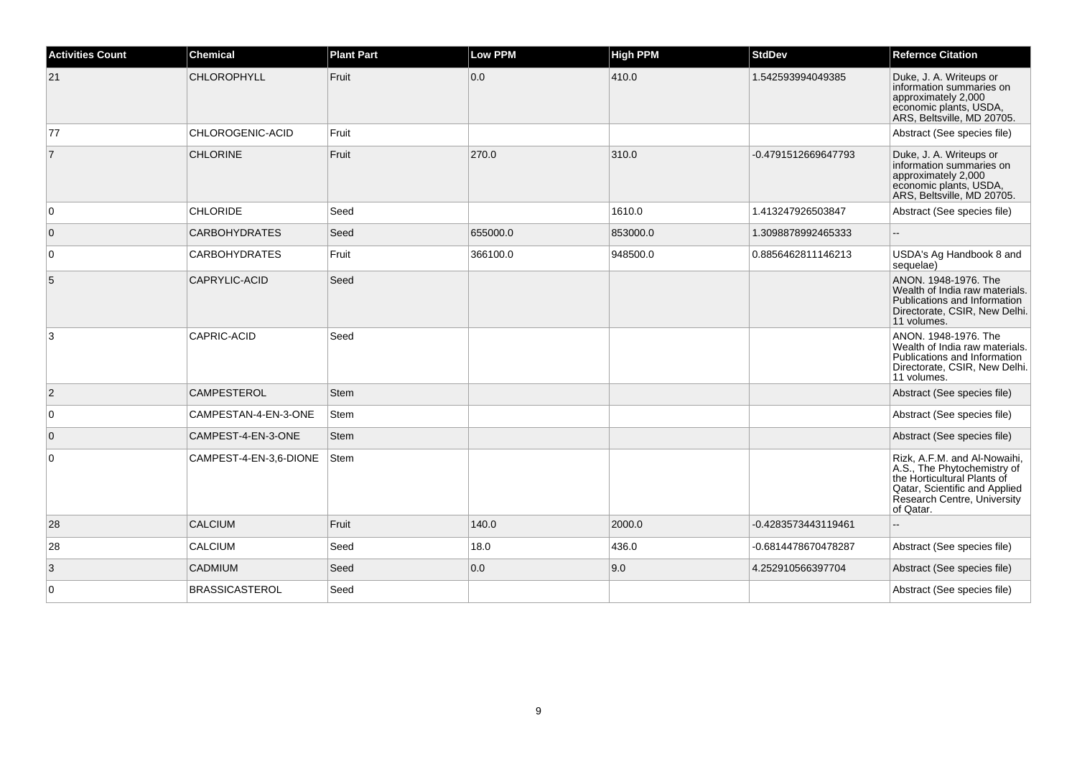| <b>Activities Count</b> | <b>Chemical</b>        | <b>Plant Part</b> | <b>Low PPM</b> | <b>High PPM</b> | <b>StdDev</b>       | <b>Refernce Citation</b>                                                                                                                                                |
|-------------------------|------------------------|-------------------|----------------|-----------------|---------------------|-------------------------------------------------------------------------------------------------------------------------------------------------------------------------|
| 21                      | <b>CHLOROPHYLL</b>     | Fruit             | 0.0            | 410.0           | 1.542593994049385   | Duke, J. A. Writeups or<br>information summaries on<br>approximately 2,000<br>economic plants, USDA,<br>ARS, Beltsville, MD 20705.                                      |
| 77                      | CHLOROGENIC-ACID       | Fruit             |                |                 |                     | Abstract (See species file)                                                                                                                                             |
| $\overline{7}$          | <b>CHLORINE</b>        | Fruit             | 270.0          | 310.0           | -0.4791512669647793 | Duke, J. A. Writeups or<br>information summaries on<br>approximately 2,000<br>economic plants, USDA,<br>ARS, Beltsville, MD 20705.                                      |
| 0                       | <b>CHLORIDE</b>        | Seed              |                | 1610.0          | 1.413247926503847   | Abstract (See species file)                                                                                                                                             |
| $\mathbf 0$             | <b>CARBOHYDRATES</b>   | Seed              | 655000.0       | 853000.0        | 1.3098878992465333  |                                                                                                                                                                         |
| 0                       | <b>CARBOHYDRATES</b>   | Fruit             | 366100.0       | 948500.0        | 0.8856462811146213  | USDA's Ag Handbook 8 and<br>sequelae)                                                                                                                                   |
| 5                       | CAPRYLIC-ACID          | Seed              |                |                 |                     | ANON, 1948-1976. The<br>Wealth of India raw materials.<br>Publications and Information<br>Directorate, CSIR, New Delhi.<br>11 volumes.                                  |
| 3                       | CAPRIC-ACID            | Seed              |                |                 |                     | ANON. 1948-1976. The<br>Wealth of India raw materials.<br>Publications and Information<br>Directorate, CSIR, New Delhi.<br>11 volumes.                                  |
| $\overline{2}$          | <b>CAMPESTEROL</b>     | Stem              |                |                 |                     | Abstract (See species file)                                                                                                                                             |
| 0                       | CAMPESTAN-4-EN-3-ONE   | <b>Stem</b>       |                |                 |                     | Abstract (See species file)                                                                                                                                             |
| $\overline{0}$          | CAMPEST-4-EN-3-ONE     | Stem              |                |                 |                     | Abstract (See species file)                                                                                                                                             |
| $\mathbf 0$             | CAMPEST-4-EN-3,6-DIONE | Stem              |                |                 |                     | Rizk, A.F.M. and Al-Nowaihi,<br>A.S., The Phytochemistry of<br>the Horticultural Plants of<br>Qatar, Scientific and Applied<br>Research Centre, University<br>of Qatar. |
| 28                      | <b>CALCIUM</b>         | Fruit             | 140.0          | 2000.0          | -0.4283573443119461 | $\overline{a}$                                                                                                                                                          |
| 28                      | <b>CALCIUM</b>         | Seed              | 18.0           | 436.0           | -0.6814478670478287 | Abstract (See species file)                                                                                                                                             |
| 3                       | <b>CADMIUM</b>         | Seed              | 0.0            | 9.0             | 4.252910566397704   | Abstract (See species file)                                                                                                                                             |
| $\mathbf 0$             | <b>BRASSICASTEROL</b>  | Seed              |                |                 |                     | Abstract (See species file)                                                                                                                                             |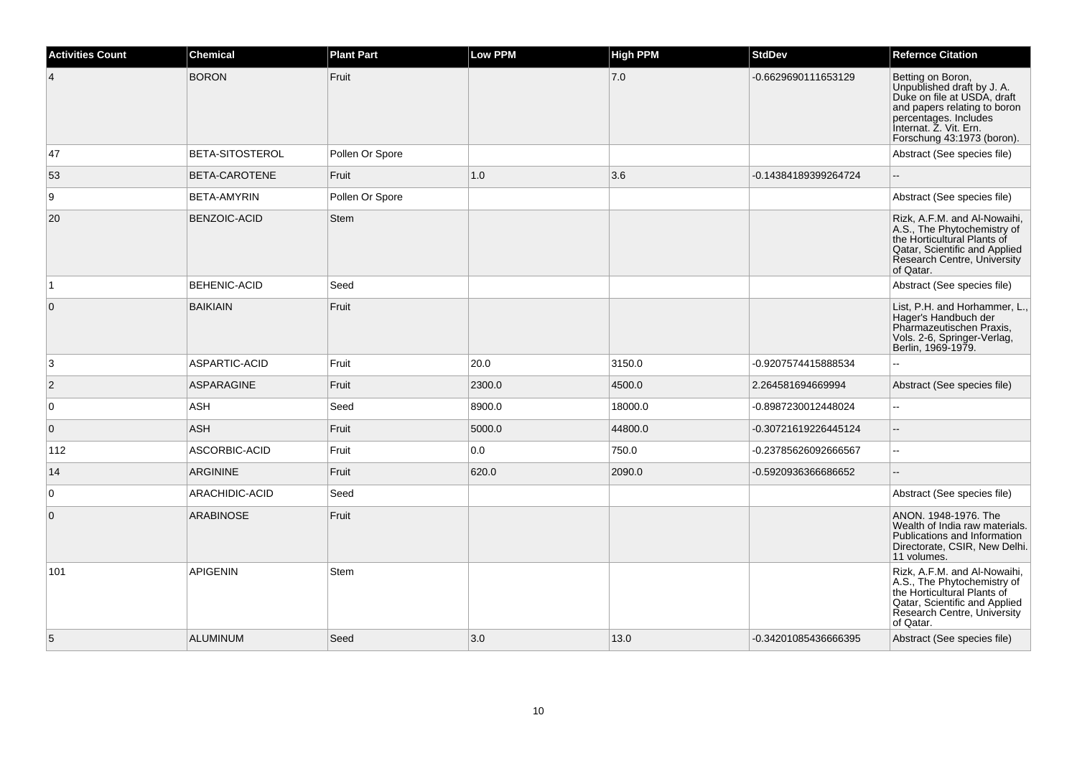| <b>Activities Count</b>  | <b>Chemical</b>        | <b>Plant Part</b> | <b>Low PPM</b> | <b>High PPM</b> | <b>StdDev</b>        | <b>Refernce Citation</b>                                                                                                                                                                        |
|--------------------------|------------------------|-------------------|----------------|-----------------|----------------------|-------------------------------------------------------------------------------------------------------------------------------------------------------------------------------------------------|
| $\overline{\mathcal{A}}$ | <b>BORON</b>           | Fruit             |                | 7.0             | -0.6629690111653129  | Betting on Boron,<br>Unpublished draft by J. A.<br>Duke on file at USDA, draft<br>and papers relating to boron<br>percentages. Includes<br>Internat. Z. Vit. Ern.<br>Forschung 43:1973 (boron). |
| 47                       | <b>BETA-SITOSTEROL</b> | Pollen Or Spore   |                |                 |                      | Abstract (See species file)                                                                                                                                                                     |
| 53                       | BETA-CAROTENE          | Fruit             | 1.0            | 3.6             | -0.14384189399264724 | $\overline{\phantom{a}}$                                                                                                                                                                        |
| 9                        | <b>BETA-AMYRIN</b>     | Pollen Or Spore   |                |                 |                      | Abstract (See species file)                                                                                                                                                                     |
| 20                       | BENZOIC-ACID           | <b>Stem</b>       |                |                 |                      | Rizk, A.F.M. and Al-Nowaihi,<br>A.S., The Phytochemistry of<br>the Horticultural Plants of<br>Qatar, Scientific and Applied<br>Research Centre, University<br>of Qatar.                         |
| 1                        | <b>BEHENIC-ACID</b>    | Seed              |                |                 |                      | Abstract (See species file)                                                                                                                                                                     |
| $\overline{0}$           | <b>BAIKIAIN</b>        | Fruit             |                |                 |                      | List, P.H. and Horhammer, L.,<br>Hager's Handbuch der<br>Pharmazeutischen Praxis,<br>Vols. 2-6, Springer-Verlag,<br>Berlin, 1969-1979.                                                          |
| 3                        | ASPARTIC-ACID          | Fruit             | 20.0           | 3150.0          | -0.9207574415888534  |                                                                                                                                                                                                 |
| $\overline{2}$           | ASPARAGINE             | Fruit             | 2300.0         | 4500.0          | 2.264581694669994    | Abstract (See species file)                                                                                                                                                                     |
| $\overline{0}$           | <b>ASH</b>             | Seed              | 8900.0         | 18000.0         | -0.8987230012448024  |                                                                                                                                                                                                 |
| $\overline{0}$           | <b>ASH</b>             | Fruit             | 5000.0         | 44800.0         | -0.30721619226445124 | ÷.                                                                                                                                                                                              |
| 112                      | ASCORBIC-ACID          | Fruit             | 0.0            | 750.0           | -0.23785626092666567 | $\sim$                                                                                                                                                                                          |
| 14                       | <b>ARGININE</b>        | Fruit             | 620.0          | 2090.0          | -0.5920936366686652  |                                                                                                                                                                                                 |
| $\overline{0}$           | ARACHIDIC-ACID         | Seed              |                |                 |                      | Abstract (See species file)                                                                                                                                                                     |
| $\overline{0}$           | ARABINOSE              | Fruit             |                |                 |                      | ANON. 1948-1976. The<br>Wealth of India raw materials.<br>Publications and Information<br>Directorate, CSIR, New Delhi.<br>11 volumes.                                                          |
| 101                      | <b>APIGENIN</b>        | Stem              |                |                 |                      | Rizk, A.F.M. and Al-Nowaihi,<br>A.S., The Phytochemistry of<br>the Horticultural Plants of<br>Qatar, Scientific and Applied<br>Research Centre, University<br>of Qatar.                         |
| $\sqrt{5}$               | <b>ALUMINUM</b>        | Seed              | 3.0            | 13.0            | -0.34201085436666395 | Abstract (See species file)                                                                                                                                                                     |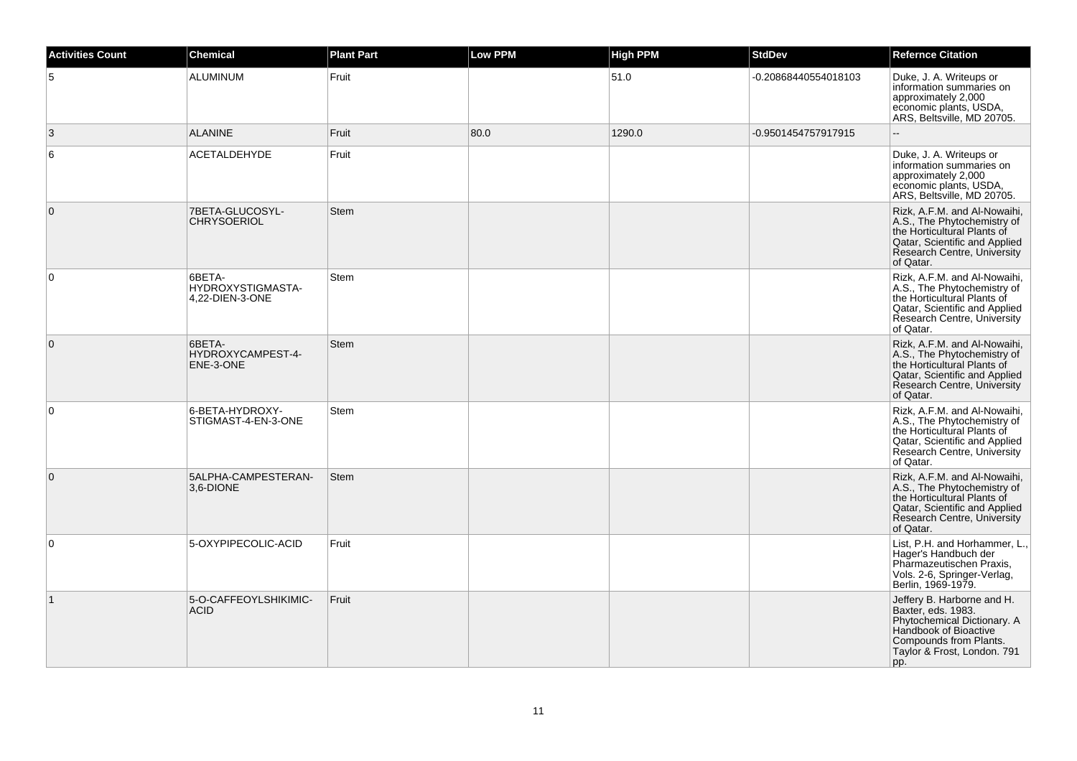| <b>Activities Count</b> | <b>Chemical</b>                                | <b>Plant Part</b> | <b>Low PPM</b> | <b>High PPM</b> | <b>StdDev</b>        | <b>Refernce Citation</b>                                                                                                                                                       |
|-------------------------|------------------------------------------------|-------------------|----------------|-----------------|----------------------|--------------------------------------------------------------------------------------------------------------------------------------------------------------------------------|
| 5                       | <b>ALUMINUM</b>                                | Fruit             |                | 51.0            | -0.20868440554018103 | Duke, J. A. Writeups or<br>information summaries on<br>approximately 2,000<br>economic plants, USDA,<br>ARS, Beltsville, MD 20705.                                             |
| 3                       | <b>ALANINE</b>                                 | Fruit             | 80.0           | 1290.0          | -0.9501454757917915  |                                                                                                                                                                                |
| 6                       | <b>ACETALDEHYDE</b>                            | Fruit             |                |                 |                      | Duke, J. A. Writeups or<br>information summaries on<br>approximately 2,000<br>economic plants, USDA,<br>ARS, Beltsville, MD 20705.                                             |
| $\overline{0}$          | 7BETA-GLUCOSYL-<br><b>CHRYSOERIOL</b>          | <b>Stem</b>       |                |                 |                      | Rizk, A.F.M. and Al-Nowaihi,<br>A.S., The Phytochemistry of<br>the Horticultural Plants of<br>Qatar, Scientific and Applied<br>Research Centre, University<br>of Qatar.        |
| 0                       | 6BETA-<br>HYDROXYSTIGMASTA-<br>4,22-DIEN-3-ONE | Stem              |                |                 |                      | Rizk, A.F.M. and Al-Nowaihi,<br>A.S., The Phytochemistry of<br>the Horticultural Plants of<br>Qatar, Scientific and Applied<br>Research Centre, University<br>of Qatar.        |
| $\mathbf{0}$            | 6BETA-<br>HYDROXYCAMPEST-4-<br>ENE-3-ONE       | <b>Stem</b>       |                |                 |                      | Rizk, A.F.M. and Al-Nowaihi,<br>A.S., The Phytochemistry of<br>the Horticultural Plants of<br>Qatar, Scientific and Applied<br>Research Centre, University<br>of Qatar.        |
| $\mathbf 0$             | 6-BETA-HYDROXY-<br>STIGMAST-4-EN-3-ONE         | <b>Stem</b>       |                |                 |                      | Rizk, A.F.M. and Al-Nowaihi,<br>A.S., The Phytochemistry of<br>the Horticultural Plants of<br>Qatar, Scientific and Applied<br>Research Centre, University<br>of Qatar.        |
| $\overline{0}$          | 5ALPHA-CAMPESTERAN-<br>3.6-DIONE               | <b>Stem</b>       |                |                 |                      | Rizk, A.F.M. and Al-Nowaihi,<br>A.S., The Phytochemistry of<br>the Horticultural Plants of<br>Qatar, Scientific and Applied<br><b>Research Centre, University</b><br>of Qatar. |
| $\mathbf 0$             | 5-OXYPIPECOLIC-ACID                            | Fruit             |                |                 |                      | List, P.H. and Horhammer, L.,<br>Hager's Handbuch der<br>Pharmazeutischen Praxis,<br>Vols. 2-6, Springer-Verlag,<br>Berlin, 1969-1979.                                         |
| $\mathbf{1}$            | 5-O-CAFFEOYLSHIKIMIC-<br><b>ACID</b>           | Fruit             |                |                 |                      | Jeffery B. Harborne and H.<br>Baxter, eds. 1983.<br>Phytochemical Dictionary. A<br>Handbook of Bioactive<br>Compounds from Plants.<br>Taylor & Frost, London. 791<br>pp.       |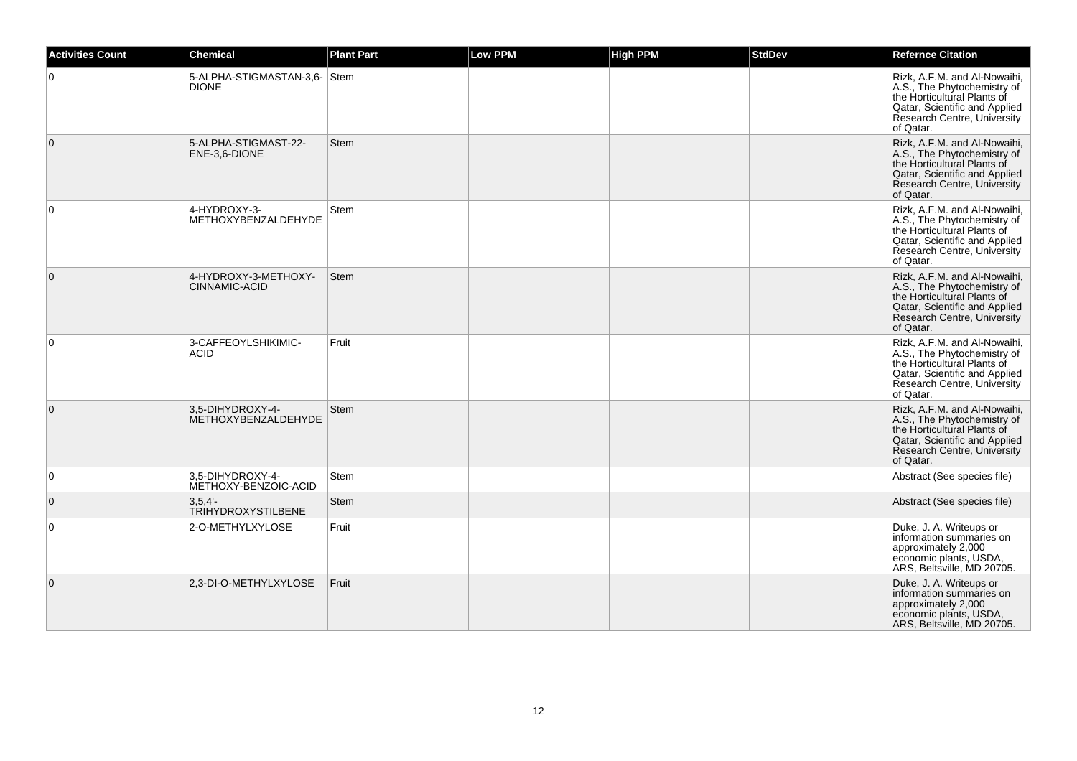| <b>Activities Count</b> | <b>Chemical</b>                              | <b>Plant Part</b> | <b>Low PPM</b> | <b>High PPM</b> | <b>StdDev</b> | <b>Refernce Citation</b>                                                                                                                                                |
|-------------------------|----------------------------------------------|-------------------|----------------|-----------------|---------------|-------------------------------------------------------------------------------------------------------------------------------------------------------------------------|
| $\Omega$                | 5-ALPHA-STIGMASTAN-3,6- Stem<br><b>DIONE</b> |                   |                |                 |               | Rizk, A.F.M. and Al-Nowaihi,<br>A.S., The Phytochemistry of<br>the Horticultural Plants of<br>Qatar, Scientific and Applied<br>Research Centre, University<br>of Qatar. |
| $\mathbf{0}$            | 5-ALPHA-STIGMAST-22-<br>ENE-3,6-DIONE        | <b>Stem</b>       |                |                 |               | Rizk, A.F.M. and Al-Nowaihi,<br>A.S., The Phytochemistry of<br>the Horticultural Plants of<br>Qatar, Scientific and Applied<br>Research Centre, University<br>of Qatar. |
| 0                       | 4-HYDROXY-3-<br>METHOXYBENZALDEHYDE          | Stem              |                |                 |               | Rizk, A.F.M. and Al-Nowaihi,<br>A.S., The Phytochemistry of<br>the Horticultural Plants of<br>Qatar, Scientific and Applied<br>Research Centre, University<br>of Qatar. |
| $\mathbf{0}$            | 4-HYDROXY-3-METHOXY-<br>CINNAMIC-ACID        | <b>Stem</b>       |                |                 |               | Rizk, A.F.M. and Al-Nowaihi,<br>A.S., The Phytochemistry of<br>the Horticultural Plants of<br>Qatar, Scientific and Applied<br>Research Centre, University<br>of Qatar. |
| 0                       | 3-CAFFEOYLSHIKIMIC-<br><b>ACID</b>           | Fruit             |                |                 |               | Rizk, A.F.M. and Al-Nowaihi,<br>A.S., The Phytochemistry of<br>the Horticultural Plants of<br>Qatar, Scientific and Applied<br>Research Centre, University<br>of Qatar. |
| $\mathbf{0}$            | 3,5-DIHYDROXY-4-<br>METHOXYBENZALDEHYDE      | <b>Stem</b>       |                |                 |               | Rizk, A.F.M. and Al-Nowaihi,<br>A.S., The Phytochemistry of<br>the Horticultural Plants of<br>Qatar, Scientific and Applied<br>Research Centre, University<br>of Qatar. |
| 0                       | 3,5-DIHYDROXY-4-<br>METHOXY-BENZOIC-ACID     | Stem              |                |                 |               | Abstract (See species file)                                                                                                                                             |
| $\mathbf{0}$            | 3.5.4'<br><b>TRIHYDROXYSTILBENE</b>          | <b>Stem</b>       |                |                 |               | Abstract (See species file)                                                                                                                                             |
| 0                       | 2-O-METHYLXYLOSE                             | Fruit             |                |                 |               | Duke, J. A. Writeups or<br>information summaries on<br>approximately 2,000<br>economic plants, USDA,<br>ARS, Beltsville, MD 20705.                                      |
| $\mathbf 0$             | 2,3-DI-O-METHYLXYLOSE                        | Fruit             |                |                 |               | Duke, J. A. Writeups or<br>information summaries on<br>approximately 2,000<br>economic plants, USDA,<br>ARS, Beltsville, MD 20705.                                      |